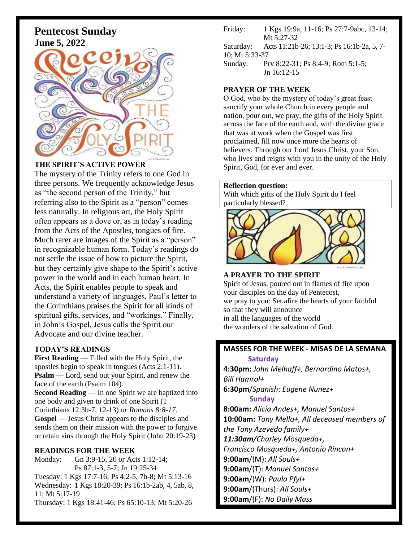# **Pentecost Sunday June 5, 2022**



#### **THE SPIRIT'S ACTIVE POWER**

The mystery of the Trinity refers to one God in three persons. We frequently acknowledge Jesus as "the second person of the Trinity," but referring also to the Spirit as a "person" comes less naturally. In religious art, the Holy Spirit often appears as a dove or, as in today's reading from the Acts of the Apostles, tongues of fire. Much rarer are images of the Spirit as a "person" in recognizable human form. Today's readings do not settle the issue of how to picture the Spirit, but they certainly give shape to the Spirit's active power in the world and in each human heart. In Acts, the Spirit enables people to speak and understand a variety of languages. Paul's letter to the Corinthians praises the Spirit for all kinds of spiritual gifts, services, and "workings." Finally, in John's Gospel, Jesus calls the Spirit our Advocate and our divine teacher.

#### **TODAY'S READINGS**

**First Reading** — Filled with the Holy Spirit, the apostles begin to speak in tongues (Acts 2:1-11). **Psalm** — Lord, send out your Spirit, and renew the face of the earth (Psalm 104). **Second Reading** — In one Spirit we are baptized into one body and given to drink of one Spirit (1 Corinthians 12:3b-7, 12-13) *or Romans 8:8-17.* **Gospel** — Jesus Christ appears to the disciples and sends them on their mission with the power to forgive

or retain sins through the Holy Spirit (John 20:19-23)

#### **READINGS FOR THE WEEK**

Monday: Gn 3:9-15, 20 or Acts 1:12-14; Ps 87:1-3, 5-7; Jn 19:25-34 Tuesday: 1 Kgs 17:7-16; Ps 4:2-5, 7b-8; Mt 5:13-16 Wednesday: 1 Kgs 18:20-39; Ps 16:1b-2ab, 4, 5ab, 8, 11; Mt 5:17-19

Thursday: 1 Kgs 18:41-46; Ps 65:10-13; Mt 5:20-26

Friday: 1 Kgs 19:9a, 11-16; Ps 27:7-9abc, 13-14; Mt 5:27-32

Saturday: Acts 11:21b-26; 13:1-3; Ps 16:1b-2a, 5, 7- 10; Mt 5:33-37

Sunday: Prv 8:22-31; Ps 8:4-9; Rom 5:1-5; Jn 16:12-15

#### **PRAYER OF THE WEEK**

O God, who by the mystery of today's great feast sanctify your whole Church in every people and nation, pour out, we pray, the gifts of the Holy Spirit across the face of the earth and, with the divine grace that was at work when the Gospel was first proclaimed, fill now once more the hearts of believers. Through our Lord Jesus Christ, your Son, who lives and reigns with you in the unity of the Holy Spirit, God, for ever and ever.

#### **Reflection question:**

With which gifts of the Holy Spirit do I feel particularly blessed?



**A PRAYER TO THE SPIRIT** Spirit of Jesus, poured out in flames of fire upon your disciples on the day of Pentecost, we pray to you: Set afire the hearts of your faithful so that they will announce in all the languages of the world the wonders of the salvation of God.

### **MASSES FOR THE WEEK - MISAS DE LA SEMANA Saturday**

**4:30pm:** *John Melhaff+, Bernardino Matos+, Bill Hamrol+* **6:30pm**/*Spanish*: *Eugene Nunez+*  **Sunday 8:00am:** *Alicia Andes+, Manuel Santos+* **10:00am:** *Tony Mello+, All deceased members of the Tony Azevedo family+ 11:30am/Charley Mosqueda+, Francisco Mosqueda+, Antonio Rincon+* **9:00am**/(M): *All Souls+* **9:00am**/(T): *Manuel Santos+* 

**9:00am**/(W): *Paula Pfyl+*

**9:00am**/(Thurs): *All Souls+*

**9:00am**/(F): *No Daily Mass*